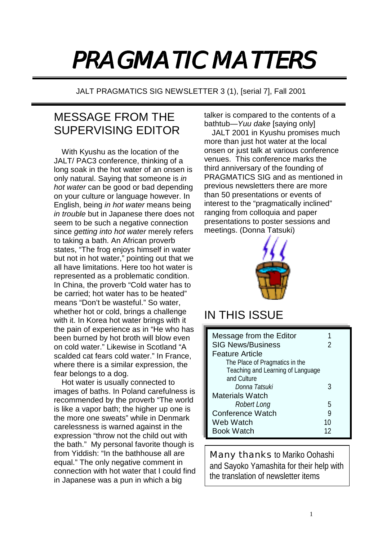## PRAGMATIC MATTERS

JALT PRAGMATICS SIG NEWSLETTER 3 (1), [serial 7], Fall 2001

## MESSAGE FROM THE SUPERVISING EDITOR

With Kyushu as the location of the JALT/ PAC3 conference, thinking of a long soak in the hot water of an onsen is only natural. Saying that someone is *in hot water* can be good or bad depending on your culture or language however. In English, being *in hot water* means being *in trouble* but in Japanese there does not seem to be such a negative connection since *getting into hot water* merely refers to taking a bath. An African proverb states, "The frog enjoys himself in water but not in hot water," pointing out that we all have limitations. Here too hot water is represented as a problematic condition. In China, the proverb "Cold water has to be carried; hot water has to be heated" means "Don't be wasteful." So water, whether hot or cold, brings a challenge with it. In Korea hot water brings with it the pain of experience as in "He who has been burned by hot broth will blow even on cold water." Likewise in Scotland "A scalded cat fears cold water." In France, where there is a similar expression, the fear belongs to a dog.

Hot water is usually connected to images of baths. In Poland carefulness is recommended by the proverb "The world is like a vapor bath; the higher up one is the more one sweats" while in Denmark carelessness is warned against in the expression "throw not the child out with the bath." My personal favorite though is from Yiddish: "In the bathhouse all are equal." The only negative comment in connection with hot water that I could find in Japanese was a pun in which a big

talker is compared to the contents of a bathtub—*Yuu dake* [saying only]

JALT 2001 in Kyushu promises much more than just hot water at the local onsen or just talk at various conference venues. This conference marks the third anniversary of the founding of PRAGMATICS SIG and as mentioned in previous newsletters there are more than 50 presentations or events of interest to the "pragmatically inclined" ranging from colloquia and paper presentations to poster sessions and meetings. (Donna Tatsuki)



## IN THIS ISSUE

| Message from the Editor           |    |
|-----------------------------------|----|
| <b>SIG News/Business</b>          |    |
| <b>Feature Article</b>            |    |
| The Place of Pragmatics in the    |    |
| Teaching and Learning of Language |    |
| and Culture                       |    |
| Donna Tatsuki                     | 3  |
| <b>Materials Watch</b>            |    |
| Robert Long                       | 5  |
| <b>Conference Watch</b>           | g  |
| Web Watch                         | 10 |
| <b>Book Watch</b>                 | 12 |

Many thanks to Mariko Oohashi and Sayoko Yamashita for their help with the translation of newsletter items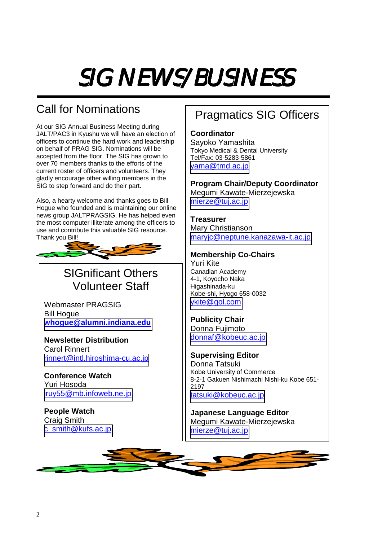## SIG NEWS/BUSINESS

## Call for Nominations

At our SIG Annual Business Meeting during JALT/PAC3 in Kyushu we will have an election of officers to continue the hard work and leadership on behalf of PRAG SIG. Nominations will be accepted from the floor. The SIG has grown to over 70 members thanks to the efforts of the current roster of officers and volunteers. They gladly encourage other willing members in the SIG to step forward and do their part.

Also, a hearty welcome and thanks goes to Bill Hogue who founded and is maintaining our online news group JALTPRAGSIG. He has helped even the most computer illiterate among the officers to use and contribute this valuable SIG resource. Thank you Bill!



## SIGnificant Others Volunteer Staff

Webmaster PRAGSIG Bill Hogue **[whogue@alumni.indiana.edu](mailto:whogue@alumni.indiana.edu)**

**Newsletter Distribution**  Carol Rinnert [rinnert@intl.hiroshima-cu.ac.jp](mailto:rinnert@intl.hiroshima-cu.ac.jp)

**Conference Watch**  Yuri Hosoda [iruy55@mb.infoweb.ne.jp](mailto:iruy55@mb.infoweb.ne.jp)

**People Watch**  Craig Smith [c\\_smith@kufs.ac.jp](mailto:c_smith@kufs.ac.jp)

## Pragmatics SIG Officers

**Coordinator** 

Sayoko Yamashita Tokyo Medical & Dental University Tel/Fax: 03-5283-5861 [yama@tmd.ac.jp](mailto:yama@tmd.ac.jp)

**Program Chair/Deputy Coordinator**  Megumi Kawate-Mierzejewska [mierze@tuj.ac.jp](mailto:mierze@tuj.ac.jp)

**Treasurer**  Mary Christianson [maryjc@neptune.kanazawa-it.ac.jp](mailto:maryjc@neptune.kanazawa-it.ac.jp)

#### **Membership Co-Chairs**

Yuri Kite Canadian Academy 4-1, Koyocho Naka Higashinada-ku Kobe-shi, Hyogo 658-0032 [ykite@gol.com](mailto:ykite@gol.com)

**Publicity Chair**  Donna Fujimoto [donnaf@kobeuc.ac.jp](mailto:donnaf@kobeuc.ac.jp)

**Supervising Editor**  Donna Tatsuki Kobe University of Commerce 8-2-1 Gakuen Nishimachi Nishi-ku Kobe 651- 2197 [tatsuki@kobeuc.ac.jp](mailto:tatsuki@kobeuc.ac.jp)

**Japanese Language Editor**  Megumi Kawate-Mierzejewska [mierze@tuj.ac.jp](mailto:mierze@tuj.ac.jp)

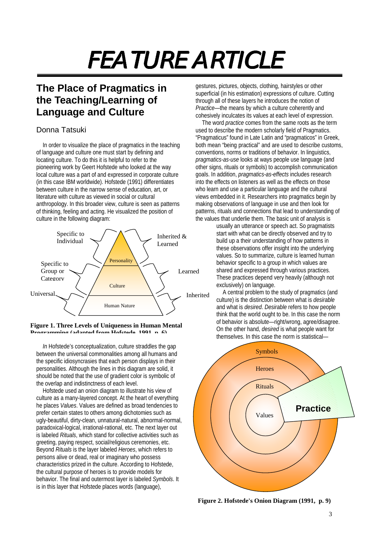# FEATURE ARTICLE

### **The Place of Pragmatics in the Teaching/Learning of Language and Culture**

#### Donna Tatsuki

In order to visualize the place of pragmatics in the teaching of language and culture one must start by defining and locating culture. To do this it is helpful to refer to the pioneering work by Geert Hofstede who looked at the way local culture was a part of and expressed in corporate culture (in this case IBM worldwide). Hofstede (1991) differentiates between culture in the narrow sense of education, art, or literature with culture as viewed in social or cultural anthropology. In this broader view, culture is seen as patterns of thinking, feeling and acting. He visualized the position of culture in the following diagram:



**Figure 1. Three Levels of Uniqueness in Human Mental Programming (adapted from Hofstede 1991 p 6)**

*In* Hofstede's conceptualization, culture straddles the gap between the universal commonalities among all humans and the specific idiosyncrasies that each person displays in their personalities. Although the lines in this diagram are solid, it should be noted that the use of gradient color is symbolic of the overlap and indistinctness of each level.

Hofstede used an onion diagram to illustrate his view of culture as a many-layered concept. At the heart of everything he places *Values*. Values are defined as broad tendencies to prefer certain states to others among dichotomies such as ugly-beautiful, dirty-clean, unnatural-natural, abnormal-normal, paradoxical-logical, irrational-rational, etc. The next layer out is labeled *Rituals*, which stand for collective activities such as greeting, paying respect, social/religious ceremonies, etc. Beyond *Rituals* is the layer labeled *Heroes*, which refers to persons alive or dead, real or imaginary who possess characteristics prized in the culture. According to Hofstede, the cultural purpose of heroes is to provide models for behavior. The final and outermost layer is labeled *Symbols*. It is in this layer that Hofstede places words (language),

gestures, pictures, objects, clothing, hairstyles or other superficial (in his estimation) expressions of culture. Cutting through all of these layers he introduces the notion of *Practice*—the means by which a culture coherently and cohesively inculcates its values at each level of expression.

The word *practice* comes from the same roots as the term used to describe the modern scholarly field of Pragmatics. "Pragmaticus" found in Late Latin and "pragmaticos" in Greek, both mean "being practical" and are used to describe customs, conventions, norms or traditions of behavior. In linguistics, *pragmatics-as-use* looks at ways people use language (and other signs, rituals or symbols) to accomplish communication goals. In addition, *pragmatics-as-effects* includes research into the effects on listeners as well as the effects on those who learn and use a particular language and the cultural views embedded in it. Researchers into pragmatics begin by making observations of language in use and then look for patterns, rituals and connections that lead to understanding of the values that underlie them. The basic unit of analysis is

usually an utterance or speech act. So pragmatists start with what can be directly observed and try to build up a their understanding of how patterns in these observations offer insight into the underlying values. So to summarize, culture is learned human behavior specific to a group in which values are shared and expressed through various practices. These practices depend very heavily (although not exclusively) on language.

A central problem to the study of pragmatics (and culture) is the distinction between what is *desirable* and what is *desired*. *Desirable* refers to how people think that the world ought to be. In this case the norm of behavior is absolute—right/wrong, agree/disagree. On the other hand, *desired* is what people want for themselves. In this case the norm is statistical—



**Figure 2. Hofstede's Onion Diagram (1991, p. 9)**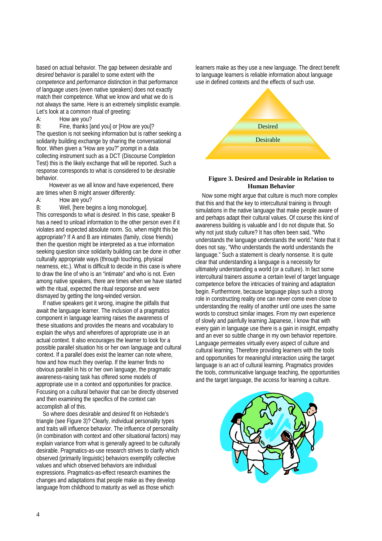based on actual behavior. The gap between *desirable* and *desired* behavior is parallel to some extent with the *competence* and *performance* distinction in that performance of language users (even native speakers) does not exactly match their competence. What we know and what we do is not always the same. Here is an extremely simplistic example. Let's look at a common ritual of greeting:

A: How are you?

B: Fine, thanks [and you] or [How are you]? The question is not seeking information but is rather seeking a solidarity building exchange by sharing the conversational floor. When given a "How are you?" prompt in a data collecting instrument such as a DCT (Discourse Completion Test) this is the likely exchange that will be reported. Such a response corresponds to what is considered to be *desirable* behavior.

However as we all know and have experienced, there are times when B might answer differently:

A: How are you?

B: Well, [here begins a long monologue]. This corresponds to what is *desired*. In this case, speaker B has a need to unload information to the other person even if it violates and expected absolute norm. So, when might this be appropriate? If A and B are intimates (family, close friends) then the question might be interpreted as a true information seeking question since solidarity building can be done in other culturally appropriate ways (through touching, physical nearness, etc.). What is difficult to decide in this case is where to draw the line of who is an "intimate" and who is not. Even among native speakers, there are times when we have started with the ritual, expected the ritual response and were dismayed by getting the long-winded version.

If native speakers get it wrong, imagine the pitfalls that await the language learner. The inclusion of a pragmatics component in language learning raises the awareness of these situations and provides the means and vocabulary to explain the whys and wherefores of appropriate use in an actual context. It also encourages the learner to look for a possible parallel situation his or her own language and cultural context. If a parallel does exist the learner can note where, how and how much they overlap. If the learner finds no obvious parallel in his or her own language, the pragmatic awareness-raising task has offered some models of appropriate use in a context and opportunities for practice. Focusing on a cultural behavior that can be directly observed and then examining the specifics of the context can accomplish all of this.

So where does *desirable* and *desired* fit on Hofstede's triangle (see Figure 3)? Clearly, individual personality types and traits will influence behavior. The influence of personality (in combination with context and other situational factors) may explain variance from what is generally agreed to be culturally desirable. Pragmatics-as-use research strives to clarify which observed (primarily linguistic) behaviors exemplify collective values and which observed behaviors are individual expressions. Pragmatics-as-effect research examines the changes and adaptations that people make as they develop language from childhood to maturity as well as those which

learners make as they use a new language. The direct benefit to language learners is reliable information about language use in defined contexts and the effects of such use.



#### **Figure 3. Desired and Desirable in Relation to Human Behavior**

Now some might argue that culture is much more complex that this and that the key to intercultural training is through simulations in the native language that make people aware of and perhaps adapt their cultural values. Of course this kind of awareness building is valuable and I do not dispute that. So why not just study culture? It has often been said, "Who understands the language understands the world." Note that it does not say, "Who understands the world understands the language." Such a statement is clearly nonsense. It is quite clear that understanding a language is a necessity for ultimately understanding a world (or a culture). In fact some intercultural trainers assume a certain level of target language competence before the intricacies of training and adaptation begin. Furthermore, because language plays such a strong role in constructing reality one can never come even close to understanding the reality of another until one uses the same words to construct similar images. From my own experience of slowly and painfully learning Japanese, I know that with every gain in language use there is a gain in insight, empathy and an ever so subtle change in my own behavior repertoire. Language permeates virtually every aspect of culture and cultural learning. Therefore providing learners with the tools and opportunities for meaningful interaction using the target language is an act of cultural learning. Pragmatics provides the tools, communicative language teaching, the opportunities and the target language, the access for learning a culture.

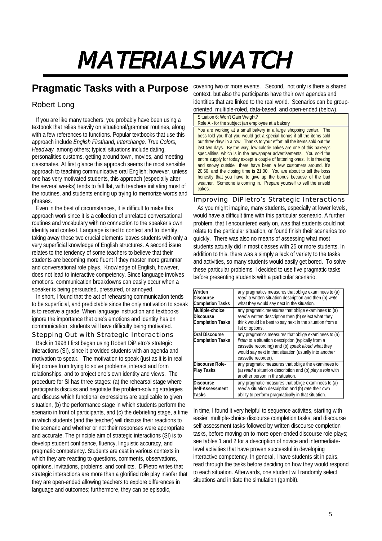## MATERIALS WATCH

### **Pragmatic Tasks with a Purpose**

#### Robert Long

If you are like many teachers, you probably have been using a textbook that relies heavily on situational/grammar routines, along with a few references to functions. Popular textbooks that use this approach include *English Firsthand, Interchange, True Colors, Headway* among others; typical situations include dating, personalities customs, getting around town, movies, and meeting classmates. At first glance this approach seems the most sensible approach to teaching communicative oral English; however, unless one has very motivated students, this approach (especially after the several weeks) tends to fall flat, with teachers initiating most of the routines, and students ending up trying to memorize words and phrases.

 Even in the best of circumstances, it is difficult to make this approach work since it is a collection of unrelated conversational routines and vocabulary with no connection to the speaker's own identity and context. Language is tied to context and to identity, taking away these two crucial elements leaves students with only a very superficial knowledge of English structures. A second issue relates to the tendency of some teachers to believe that their students are becoming more fluent if they master more grammar and conversational role plays. Knowledge of English, however, does not lead to interactive competency. Since language involves emotions, communication breakdowns can easily occur when a speaker is being persuaded, pressured, or annoyed.

 In short, I found that the act of rehearsing communication tends to be superficial, and predictable since the only motivation to speak is to receive a grade. When language instruction and textbooks ignore the importance that one's emotions and identity has on communication, students will have difficulty being motivated. Stepping Out with Strategic Interactions

 Back in 1998 I first began using Robert DiPietro's strategic interactions (SI), since it provided students with an agenda and motivation to speak. The motivation to speak (just as it is in real life) comes from trying to solve problems, interact and form relationships, and to project one's own identity and views. The procedure for SI has three stages: (a) the rehearsal stage where participants discuss and negotiate the problem-solving strategies and discuss which functional expressions are applicable to given situation, (b) the performance stage in which students perform the scenario in front of participants, and (c) the debriefing stage, a time in which students (and the teacher) will discuss their reactions to the scenario and whether or not their responses were appropriate and accurate. The principle aim of strategic interactions (SI) is to develop student confidence, fluency, linguistic accuracy, and pragmatic competency. Students are cast in various contexts in which they are reacting to questions, comments, observations, opinions, invitations, problems, and conflicts. DiPietro writes that strategic interactions are more than a glorified role play insofar that they are open-ended allowing teachers to explore differences in language and outcomes; furthermore, they can be episodic,

covering two or more events. Second, not only is there a shared context, but also the participants have their own agendas and identities that are linked to the real world. Scenarios can be grouporiented, multiple-roled, data-based, and open-ended (below).

#### Situation 6: Won't Gain Weight?

Role A - for the subject (an employee at a bakery You are working at a small bakery in a large shopping center. The boss told you that you would get a special bonus if all the items sold out three days in a row. Thanks to your effort, all the items sold out the last two days. By the way, low-calorie cakes are one of this bakery's specialities, which is in the newspaper advertisements. You sold the entire supply for today except a couple of fattening ones. It is freezing and snowy outside there have been a few customers around. It's 20:50, and the closing time is 21:00. You are about to tell the boss honestly that you have to give up the bonus because of the bad weather. Someone is coming in. Prepare yourself to sell the unsold cakes.

#### Improving DiPietro's Strategic Interactions

As you might imagine, many students, especially at lower levels, would have a difficult time with this particular sceneario. A further problem, that I encountered early on, was that students could not relate to the particular situation, or found finish their scenarios too quickly. There was also no means of assessing what most students actually did in most classes with 25 or more students. In addition to this, there was a simply a lack of variety to the tasks and activities, so many students would easily get bored. To solve these particular problems, I decided to use five pragmatic tasks before presenting students with a particular scenario.

| Written<br><b>Discourse</b><br><b>Completion Tasks</b>         | any pragmatics measures that oblige examinees to (a)<br>read a written situation description and then (b) write<br>what they would say next in the situation.                                                                                     |
|----------------------------------------------------------------|---------------------------------------------------------------------------------------------------------------------------------------------------------------------------------------------------------------------------------------------------|
| Multiple-choice<br><b>Discourse</b><br><b>Completion Tasks</b> | any pragmatic measures that oblige examinees to (a)<br>read a written description then (b) select what they<br>think would be best to say next in the situation from a<br>list of options.                                                        |
| <b>Oral Discourse</b><br><b>Completion Tasks</b>               | any pragmatics measures that oblige examinees to (a)<br>listen to a situation description (typically from a<br>cassette recording) and (b) speak aloud what they<br>would say next in that situation (usually into another<br>cassette recorder). |
| <b>Discourse Role-</b><br><b>Play Tasks</b>                    | any pragmatic measures that oblige the examinees to<br>(a) read a situation description and (b) play a role with<br>another person in the situation.                                                                                              |
| <b>Discourse</b><br>Self-Assessment<br>Tasks                   | any pragmatic measures that oblige examinees to (a)<br>read a situation description and (b) rate their own<br>ability to perform pragmatically in that situation.                                                                                 |

In time, I found it very helpful to sequence activites, starting with easier multiple-choice discourse completion tasks, and discourse self-assessment tasks followed by written discourse completion tasks, before moving on to more open-ended discourse role plays; see tables 1 and 2 for a description of novice and intermediatelevel activities that have proven successful in developing interactive competency. In general, I have students sit in pairs, read through the tasks before deciding on how they would respond to each situation. Afterwards, one student will randomly select situations and initiate the simulation (gambit).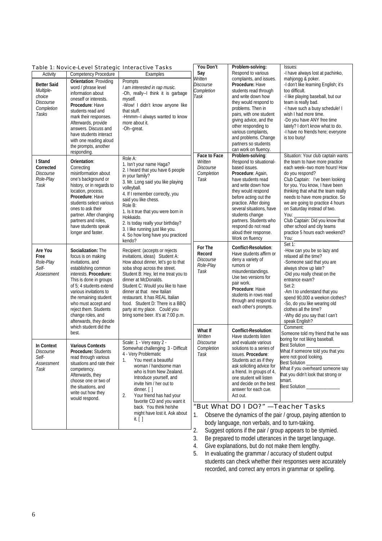| Table 1: Novice-Level Strategic Interactive Tasks |                                                   |                                                                 | You Don't               | Problem-solving:                                 | Issues:                                                          |
|---------------------------------------------------|---------------------------------------------------|-----------------------------------------------------------------|-------------------------|--------------------------------------------------|------------------------------------------------------------------|
| Activity                                          | <b>Competency Procedure</b>                       | Examples                                                        | Say                     | Respond to various                               | -I have always lost at pachinko,                                 |
|                                                   | <b>Orientation: Providing</b>                     | Prompts                                                         | Written                 | complaints, and issues.                          | mahjongg & poker.                                                |
| <b>Better Said</b><br>Multiple-                   | word / phrase level                               | I am interested in rap music.                                   | Discourse<br>Completion | Procedure: Have<br>students read through         | -I don't like learning English; it's<br>too difficult.           |
| choice                                            | information about                                 | -Oh, really--I think it is garbage                              | Task                    | and write down how                               | -I like playing baseball, but our                                |
| Discourse                                         | oneself or interests.                             | myself.                                                         |                         | they would respond to                            | team is really bad.                                              |
| Completion                                        | Procedure: Have                                   | -Wow! I didn't know anyone like                                 |                         | problems. Then in                                | -I have such a busy schedule! I                                  |
| Tasks                                             | students read and                                 | that stuff.                                                     |                         | pairs, with one student                          | wish I had more time.                                            |
|                                                   | mark their responses.                             | -Hmmm--I always wanted to know                                  |                         | giving advice, and the                           | -Do you have ANY free time                                       |
|                                                   | Afterwards, provide<br>answers. Discuss and       | more about it.<br>-Oh--great.                                   |                         | other responding to                              | lately? I don't know what to do.                                 |
|                                                   | have students interact                            |                                                                 |                         | various complaints,                              | -I have no friends here; everyone                                |
|                                                   | with one reading aloud                            |                                                                 |                         | and problems. Change                             | is too busy!                                                     |
|                                                   | the prompts, another                              |                                                                 |                         | partners so students                             |                                                                  |
|                                                   | responding.                                       |                                                                 |                         | can work on fluency.                             |                                                                  |
| I Stand                                           | Orientation:                                      | Role A:                                                         | <b>Face to Face</b>     | Problem-solving:                                 | Situation: Your club captain wants                               |
| Corrected                                         | Correcting                                        | 1. Isn't your name Haga?                                        | Written<br>Discourse    | Respond to situational-<br>based issues.         | the team to have more practice<br>each week--two more hours! How |
| Discourse                                         | misinformation about                              | 2. I heard that you have 6 people                               | Completion              | Procedure: Again,                                | do you respond?                                                  |
| Role-Play                                         | one's background or                               | in your family?                                                 | Task                    | have students read                               | Club Captain: I've been looking                                  |
| Task                                              | history, or in regards to                         | 3. Mr. Long said you like playing                               |                         | and write down how                               | for you. You know, I have been                                   |
|                                                   | location, process.                                | volleyball.<br>4. If I remember correctly, you                  |                         | they would respond                               | thinking that what the team really                               |
|                                                   | Procedure: Have                                   | said you like chess.                                            |                         | before acting out the                            | needs to have more practice. So                                  |
|                                                   | students select various                           | Role B:                                                         |                         | practice. After doing                            | we are going to practice 4 hours                                 |
|                                                   | ones to ask their                                 | 1. Is it true that you were born in                             |                         | several situations, have                         | on Saturday instead of two.                                      |
|                                                   | partner. After changing                           | Hokkaido.                                                       |                         | students change                                  | You:                                                             |
|                                                   | partners and roles,<br>have students speak        | 2. Is today really your birthday?                               |                         | partners. Students who                           | Club Captain: Did you know that                                  |
|                                                   | longer and faster.                                | 3. I like running just like you.                                |                         | respond do not read<br>aloud their response.     | other school and city teams<br>practice 5 hours each weekend?    |
|                                                   |                                                   | 4. So how long have you practiced                               |                         | Work on fluency                                  | You:                                                             |
|                                                   |                                                   | kendo?                                                          |                         |                                                  | Set $1$ :                                                        |
| Are You                                           | Socialization: The                                | Recipient: (accepts or rejects                                  | For The                 | Conflict-Resolution:                             | -How can you be so lazy and                                      |
| Free                                              | focus is on making                                | invitations, ideas) Student A:                                  | Record                  | Have students affirm or                          | relaxed all the time?                                            |
| Role-Play                                         | invitations, and                                  | How about dinner, let's go to that                              | Discourse<br>Role-Play  | deny a variety of<br>rumors or                   | -Someone said that you are                                       |
| Self-                                             | establishing common                               | soba shop across the street.                                    | Task                    | misunderstandings.                               | always show up late?                                             |
| Assessment                                        | interests. Procedure:                             | Student B: Hey, let me treat you to                             |                         | Use two versions for                             | -Did you really cheat on the                                     |
|                                                   | This is done in groups                            | dinner at McDonalds.                                            |                         | pair work.                                       | entrance exam?                                                   |
|                                                   | of 5: 4 students extend                           | Student C: Would you like to have<br>dinner at that new Italian |                         | Procedure: Have                                  | Set $2:$                                                         |
|                                                   | various invitations to<br>the remaining student   | restaurant. It has REAL Italian                                 |                         | students in rows read                            | -Am I to understand that you<br>spend 90,000 a weekon clothes?   |
|                                                   | who must accept and                               | food. Student D: There is a BBQ                                 |                         | through and respond to                           | -So, do you like wearing old                                     |
|                                                   | reject them. Students                             | party at my place. Could you                                    |                         | each other's prompts.                            | clothes all the time?                                            |
|                                                   | change roles, and                                 | bring some beer. It's at 7:00 p.m.                              |                         |                                                  | -Why did you say that I can't                                    |
|                                                   | afterwards, they decide                           |                                                                 |                         |                                                  | speak English?                                                   |
|                                                   | which student did the                             |                                                                 | What If                 | <b>Conflict-Resolution:</b>                      | Comment:                                                         |
|                                                   | best.                                             |                                                                 | Written                 | Have students listen                             | Someone told my friend that he was                               |
|                                                   |                                                   | Scale: 1 - Very easy 2 -                                        | Discourse               | and evaluate various                             | boring for not liking baseball.                                  |
| <b>In Context</b>                                 | <b>Various Contexts</b>                           | Somewhat challenging 3 - Difficult                              | Completion              | solutions to a series of                         | Best Solution                                                    |
| Discourse                                         | Procedure: Students                               | 4 - Very Problematic                                            | Task                    | issues. Procedure:                               | What if someone told you that you                                |
| Self-<br>Assessment                               | read through various<br>situations and rate their | 1.<br>You meet a beautiful                                      |                         | Students act as if they                          | were not good looking.<br>Best Solution _                        |
| Task                                              | competency.                                       | woman / handsome man                                            |                         | ask soliciting advice for                        | What if you overheard someone say                                |
|                                                   | Afterwards, they                                  | who is from New Zealand.                                        |                         | a friend. In groups of 4,                        | that you didn't look that strong or                              |
|                                                   | choose one or two of                              | Introduce yourself, and                                         |                         | one student will listen                          | smart.                                                           |
|                                                   | the situations, and                               | invite him / her out to<br>dinner. $\lceil \cdot \rceil$        |                         | and decide on the best                           | Best Solution _______________                                    |
|                                                   | write out how they                                | Your friend has had your<br>2.                                  |                         | answer for each cue.<br>Act out.                 |                                                                  |
|                                                   | would respond.                                    | favorite CD and you want it                                     |                         |                                                  |                                                                  |
|                                                   |                                                   | back. You think he/she                                          |                         | "But What DO I DO?" - Teacher Tasks              |                                                                  |
|                                                   |                                                   | might have lost it. Ask about                                   | 1.                      |                                                  | Observe the dynamics of the pair / group, paying attention to    |
|                                                   |                                                   | it. [ ]                                                         |                         | body language, non verbals, and to turn-taking.  |                                                                  |
|                                                   |                                                   |                                                                 | 2.                      |                                                  | Suggest options if the pair / group appears to be stymied.       |
|                                                   |                                                   |                                                                 | 3.                      |                                                  | Be prepared to model utterances in the target language.          |
|                                                   |                                                   |                                                                 |                         |                                                  |                                                                  |
|                                                   |                                                   |                                                                 | 4.                      | Give explanations, but do not make them lengthy. |                                                                  |

5. In evaluating the grammar / accuracy of student output students can check whether their responses were accurately recorded, and correct any errors in grammar or spelling.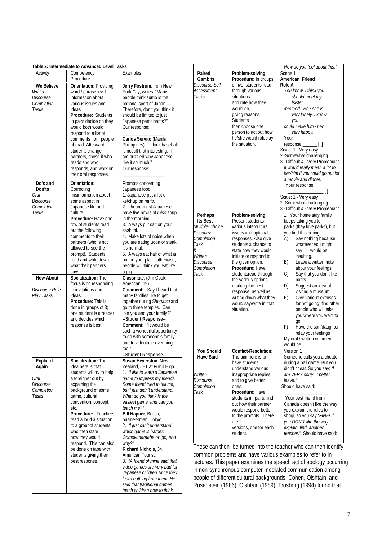| Activity            | Competency<br>Procedure                        | Examples                                                       |
|---------------------|------------------------------------------------|----------------------------------------------------------------|
| We Believe          | <b>Orientation: Providing</b>                  | Jerry Fostrum, from New                                        |
| Written             | word / phrase level                            | York City, writes: "Many                                       |
| Discourse           | information about                              | people think sumo is the                                       |
| Completion<br>Tasks | various issues and<br>ideas.                   | national sport of Japan.<br>Therefore, don't you think it      |
|                     | Procedure: Students                            | should be limited to just                                      |
|                     | in pairs decide on they                        | Japanese participants?"                                        |
|                     | would both would                               | Our response:                                                  |
|                     | respond to a list of                           |                                                                |
|                     | comments from people                           | Carlos Servito (Manila,                                        |
|                     | abroad. Afterwards,                            | Philippines): "I think baseball                                |
|                     | students change                                | is not all that interesting. I                                 |
|                     | partners, chose if who                         | am puzzled why Japanese                                        |
|                     | reads and who                                  | like it so much."                                              |
|                     | responds, and work on<br>their oral responses. | Our response:                                                  |
| Do's and            | Orientation:                                   | Prompts concerning                                             |
| Don'ts              | Correcting                                     | Japanese food:                                                 |
| Oral                | misinformation about                           | 1. Japanese put a lot of                                       |
| Discourse           | some aspect in                                 | ketchup on natto.                                              |
| Completion          | Japanese life and                              | 2. I heard most Japanese                                       |
| Tasks               | culture.                                       | have five bowls of <i>miso</i> soup                            |
|                     | Procedure: Have one                            | in the morning.                                                |
|                     | row of students read                           | 3. Always put salt on your                                     |
|                     | out the following                              | sashimi.                                                       |
|                     | comments to their                              | 4. Make lots of noise when                                     |
|                     | partners (who is not                           | you are eating udon or steak;                                  |
|                     | allowed to see the                             | it's normal.                                                   |
|                     | prompt). Students<br>read and write down       | 5. Always eat half of what is<br>put on your plate; otherwise, |
|                     | what their partners                            | people will think you eat like                                 |
|                     | says.                                          | a pig.                                                         |
| <b>How About</b>    | Socialization: The                             | Classmate: (Jim Cook,                                          |
|                     | focus is on responding                         | American, 19)                                                  |
| Discourse Role-     | to invitations and                             | Comment: "Say I heard that                                     |
| Play Tasks          | ideas.                                         | many families like to get                                      |
|                     | <b>Procedure: This is</b>                      | together during Shogatsu and                                   |
|                     | done in groups of 3;                           | go to three temples. Can I                                     |
|                     | one student is a reader                        | join you and your family?"                                     |
|                     | and decides which                              | --Student Response--                                           |
|                     | response is best.                              | <b>Comment:</b> "It would be                                   |
|                     |                                                | such a wonderful opportunity                                   |
|                     |                                                | to go with someone's family--<br>and to videotape everthing    |
|                     |                                                | too!"                                                          |
|                     |                                                | --Student Response--                                           |
| Explain It          | Socialization: The                             | Susan Heverston, New                                           |
| Again               | idea here is that                              | Zealand, JET at Fukui High.                                    |
|                     | students will try to help                      | 1. "I like to learn a Japanese                                 |
| Oral                | a foreigner out by                             | game to impress my friends.                                    |
| Discourse           | expaining the                                  | Some friend tried to tell me,                                  |
| Completion          | background of some                             | but I just didn't understand.                                  |
| Tasks               | game, cultural                                 | What do you think is the                                       |
|                     | convention, concept,                           | easiest game, and can you                                      |
|                     | etc.<br>Procedure: Teachers                    | teach me?"<br>Bill Hapner, British,                            |
|                     | read a loud a situation                        | businessman, Tokyo.                                            |
|                     | to a group of students                         | 2. "I just can't understand                                    |
|                     | who then state                                 | which game is harder:                                          |
|                     | how they would                                 | Gomokunaraabe or Igo, and                                      |
|                     | respond. This can also                         | why?"                                                          |
|                     | be done on tape with                           | Richard Nichols, 34,                                           |
|                     | students giving their                          | American Tourist.                                              |
|                     | best response.                                 | 3. "A friend of mine said that                                 |
|                     |                                                | video games are very bad for                                   |
|                     |                                                | Japanese children since they                                   |
|                     |                                                | learn nothing from them. He                                    |
|                     |                                                | said that traditional games                                    |
|                     |                                                | teach children how to think.                                   |

|                   |                         | How do you feel about this."       |
|-------------------|-------------------------|------------------------------------|
| Paired            | Problem-solving:        | Scene 1                            |
| <b>Gambits</b>    | Procedure: In groups    | American Friend                    |
|                   | of five, students read  |                                    |
| Discourse Self-   |                         | Role A                             |
| Assessment        | through various         | You know, I think you              |
| Tasks             | situations              | should meet my                     |
|                   | and rate how they       | <b>Isister</b>                     |
|                   | would do,               | /brother]. He / she is             |
|                   | giving reasons.         | very lonely. I know                |
|                   | <b>Students</b>         | you                                |
|                   | then choose one         | could make him / her               |
|                   | person to act out how   | very happy.                        |
|                   | he/she would roleplay   | Your                               |
|                   | the situation.          | response:_______[]                 |
|                   |                         | Scale: 1 - Very easy               |
|                   |                         | 2 - Somewhat challenging           |
|                   |                         | 3 - Difficult 4 - Very Problematic |
|                   |                         |                                    |
|                   |                         | It would really mean a lot to      |
|                   |                         | her/him if you could go out for    |
|                   |                         | a movie and dinner.                |
|                   |                         | Your response:                     |
|                   |                         | $\Box$                             |
|                   |                         | Scale: 1 - Very easy               |
|                   |                         | 2 - Somewhat challenging           |
|                   |                         | 3 - Difficult 4 - Very Problematic |
| Perhaps           | Problem-solving:        | 1. Your home stay family           |
| <b>Its Best</b>   | Present students        | keeps taking you to                |
| Multiple-choice   | various intercultural   | parks, (they love parks), but      |
| Discourse         | issues and optional     | you find this boring.              |
| Completion        | responses. Also give    | Say nothing because<br>A)          |
| Task              | students a chance to    | whatever you might                 |
| &                 | state how they would    | would be                           |
| Written           |                         | say                                |
|                   | initiate or respond to  | insulting.                         |
| Discourse         | the given option.       | B)<br>Leave a written note         |
| Completion        | Procedure: Have         | about your feelings.               |
| Task              | studentsread through    | Say that you don't like<br>C)      |
|                   | the various options,    | parks.                             |
|                   | marking the best        | Suggest an idea of<br>D)           |
|                   | response, as well as    | visiting a museum.                 |
|                   | writing down what they  | Give various excuses<br>E)         |
|                   | would say/write in that | for not going; find other          |
|                   | situation.              | people who will take               |
|                   |                         | you where you want to              |
|                   |                         | qo                                 |
|                   |                         | Have the son/daughter<br>F)        |
|                   |                         | relay your feelings                |
|                   |                         | My oral / written comment          |
|                   |                         | would be                           |
| <b>You Should</b> |                         | Version 1                          |
|                   | Conflict-Resolution:    |                                    |
| <b>Have Said</b>  | The aim here is to      | Someone calls you a cheater        |
|                   | have students           | during a ball game. But you        |
|                   | understand various      | didn't cheat. So you say: "/       |
| Written           | inappropriate replies   | am VERY sorry. I better            |
| Discourse         | and to give better      | leave."                            |
| Completion        | ones.                   | Should have said:                  |
| Task              | Procedure: Have         |                                    |
|                   | students in pairs, find | Your best friend from              |
|                   | out how their partner   | Canada doesn't like the way        |
|                   | would respond better    | you explain the rules to           |
|                   | to the prompts. There   | shogi, so you say: "FINE! If       |
|                   | are 2                   | you DON'T like the way I           |
|                   | versions, one for each  | explain, find another              |
|                   | student.                | teacher." Should have said:        |
|                   |                         |                                    |
|                   |                         |                                    |

These can then be turned into the teacher who can then identify common problems and have various examples to refer to in lectures. This paper examines the speech act of apology occurring in non-synchronous computer-mediated communication among people of different cultural backgrounds. Cohen, Olshtain, and Rosenstein (1986), Olshtain (1989), Trosborg (1994) found that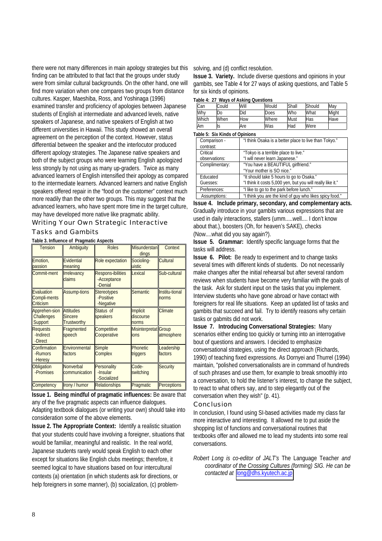there were not many differences in main apology strategies but this finding can be attributed to that fact that the groups under study were from similar cultural backgrounds. On the other hand, one will find more variation when one compares two groups from distance cultures. Kasper, Maeshiba, Ross, and Yoshinaga (1996) examined transfer and proficiency of apologies between Japanese students of English at intermediate and advanced levels, native speakers of Japanese, and native speakers of English at two different universities in Hawaii. This study showed an overall agreement on the perception of the context. However, status differential between the speaker and the interlocutor produced different apology strategies. The Japanese native speakers and both of the subject groups who were learning English apologized less strongly by not using as many up-graders. Twice as many advanced learners of English intensified their apology as compared to the intermediate learners. Advanced learners and native English speakers offered repair in the "food on the customer" context much more readily than the other two groups. This may suggest that the advanced learners, who have spent more time in the target culture, may have developed more native like pragmatic ability.

Writing Your Own Strategic Interactive

Tasks and Gambits

**Table 3. Influence of Pragmatic Aspects** 

| <b>Tension</b>                                 | Ambiguity                                                | <b>Roles</b>                                       | <b>Misunderstan</b><br>dings        | Context                 |
|------------------------------------------------|----------------------------------------------------------|----------------------------------------------------|-------------------------------------|-------------------------|
| Emotion,<br>passion                            | Evidential<br>meaning                                    | Role expectation                                   | Socioling-<br>uistic                | Cultural                |
| Commit-ment                                    | Irrelevancy<br>claims                                    | <b>Respons-ibilities</b><br>-Acceptance<br>-Denial | Lexical                             | Sub-cultural            |
| Evaluation<br><b>Compli-ments</b><br>Criticism | <b>Assump-tions</b>                                      | <b>Stereotypes</b><br>-Positive<br>-Negative       | <b>Semantic</b>                     | Institu-tional<br>norms |
| Apprehen-sion<br>Challenges<br>Support         | <b>Attitudes</b><br><b>Sincere</b><br><b>Trustworthy</b> | Status of<br>speakers                              | Implicit<br>discourse<br>norms      | Climate                 |
| <b>Requests</b><br>-Indirect<br>-Direct        | Fragmented<br>speech                                     | Competitive<br>Cooperative                         | <b>Misinterpretat</b> Group<br>ions | atmosphere              |
| Confirmation<br>-Rumors<br>-Heresy             | Environmental<br>factors                                 | <b>Simple</b><br>Complex                           | <b>Phonetic</b><br>triggers         | Leadership<br>factors   |
| <b>Obligation</b><br>-Promises                 | Nonverbal<br>communication                               | Personality<br>-Insular<br>-Socialized             | Code-<br>switching                  | <b>Security</b>         |
| Competency                                     | Irony / humor                                            | <b>Relationships</b>                               | Pragmatic                           | <b>Perceptions</b>      |

**Issue 1. Being mindful of pragmatic influences:** Be aware that any of the five pragmatic aspects can influence dialogues. Adapting textbook dialogues (or writing your own) should take into consideration some of the above elements.

**Issue 2. The Appropriate Context:** Identify a realistic situation that your students could have involving a foreigner, situations that would be familiar, meaningful and realistic. In the real world, Japanese students rarely would speak English to each other except for situations like English clubs meetings; therefore, it seemed logical to have situations based on four intercultural contexts (a) orientation (in which students ask for directions, or help foreigners in some manner), (b) socialization, (c) problemsolving, and (d) conflict resolution.

**Issue 3. Variety.** Include diverse questions and opinions in your gambits, see Table 4 for 27 ways of asking questions, and Table 5 for six kinds of opinions.

**Table 4: 27 Ways of Asking Questions** 

|       | $1900 - 1.21$ wave of Abulue Quebuons |      |       |       |        |       |
|-------|---------------------------------------|------|-------|-------|--------|-------|
| Can   | Could                                 | Will | Would | Shall | Should | May   |
| Why   | Do                                    | Did  | Does  | Who   | What   | Might |
| Which | When                                  | How  | Where | Must  | Has    | Have  |
| Am    | Is                                    | Are  | Was   | Had   | Were   |       |

**Table 5: Six Kinds of Opinions**

| <u>UNIV VI VIA INIIUJ VI VNIHIVIIJ</u> |                                                            |
|----------------------------------------|------------------------------------------------------------|
| Comparison -                           | "I think Osaka is a better place to live than Tokyo."      |
| contrast:                              |                                                            |
| Critical                               | "Tokyo is a terrible place to live."                       |
| observations:                          | "I will never learn Japanese."                             |
| Complimentary:                         | "You have a BEAUTIFUL girlfriend."                         |
|                                        | "Your mother is SO nice."                                  |
| Educated                               | "It should take 5 hours to go to Osaka."                   |
| Guesses:                               | "I think it costs 5,000 yen, but you will really like it." |
| Preferences:                           | "I like to go to the park before lunch."                   |
| Assumptions:                           | "I think you are the kind of guy who likes spicy food."    |

**Issue 4. Include primary, secondary, and complementary acts.**  Gradually introduce in your gambits various expressions that are used in daily interactions, stallers (umm.....well.... I don't know about that.), boosters (Oh, for heaven's SAKE), checks (Now....what did you say again?).

**Issue 5. Grammar:** Identify specific language forms that the tasks will address.

**Issue 6. Pilot:** Be ready to experiment and to change tasks several times with different kinds of students. Do not necessarily make changes after the initial rehearsal but after several random reviews when students have become very familiar with the goals of the task. Ask for student input on the tasks that you implement. Interview students who have gone abroad or have contact with foreigners for real life situations. Keep an updated list of tasks and gambits that succeed and fail. Try to identify reasons why certain tasks or gabmits did not work.

**Issue 7. Introducing Conversational Strategies:** Many scenarios either ending too quickly or turning into an interrogative bout of questions and answers. I decided to emphasize conversational strategies, using the direct approach (Richards, 1990) of teaching fixed expressions. As Dornyei and Thurrel (1994) maintain, "polished conversationalists are in command of hundreds of such phrases and use them, for example to break smoothly into a conversation, to hold the listener's interest, to change the subject, to react to what others say, and to step elegantly out of the conversation when they wish" (p. 41).

#### Conclusion

In conclusion, I found using SI-based activities made my class far more interactive and interesting. It allowed me to put aside the shopping list of functions and conversational routines that textbooks offer and allowed me to lead my students into some real conversations.

*Robert Long is co-editor of JALT's* The Language Teacher *and coordinator of the Crossing Cultures (forming) SIG. He can be contacted at* [long@dhs.kyutech.ac.jp](mailto:long@dhs.kyutech.ac.jp)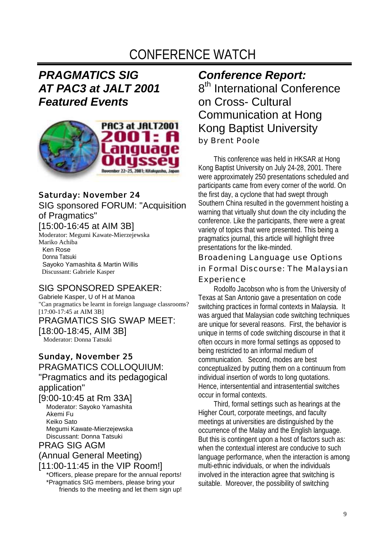## CONFERENCE WATCH

### *PRAGMATICS SIG AT PAC3 at JALT 2001 Featured Events*



#### *Saturday: November 24 24* SIG sponsored FORUM: "Acquisition of Pragmatics"

#### [15:00-16:45 at AIM 3B]

Moderator: Megumi Kawate-Mierzejewska Mariko Achiba Ken Rose Donna Tatsuki

Sayoko Yamashita & Martin Willis Discussant: Gabriele Kasper

#### SIG SPONSORED SPEAKER:

Gabriele Kasper, U of H at Manoa "Can pragmatics be learnt in foreign language classrooms? [17:00-17:45 at AIM 3B] PRAGMATICS SIG SWAP MEET: [18:00-18:45, AIM 3B] Moderator: Donna Tatsuki

#### *Sunday, November 25 25*

PRAGMATICS COLLOQUIUM: "Pragmatics and its pedagogical application" [9:00-10:45 at Rm 33A] Moderator: Sayoko Yamashita Akemi Fu Keiko Sato Megumi Kawate-Mierzejewska Discussant: Donna Tatsuki PRAG SIG AGM

#### (Annual General Meeting)

[11:00-11:45 in the VIP Room!] \*Officers, please prepare for the annual reports! \*Pragmatics SIG members, please bring your friends to the meeting and let them sign up!

## *Conference Report:*

8<sup>th</sup> International Conference on Cross- Cultural Communication at Hong Kong Baptist University by Brent Poole

This conference was held in HKSAR at Hong Kong Baptist University on July 24-28, 2001. There were approximately 250 presentations scheduled and participants came from every corner of the world. On the first day, a cyclone that had swept through Southern China resulted in the government hoisting a warning that virtually shut down the city including the conference. Like the participants, there were a great variety of topics that were presented. This being a pragmatics journal, this article will highlight three presentations for the like-minded.

Broadening Language use Options in Formal Discourse: The Malaysian Experience

Rodolfo Jacobson who is from the University of Texas at San Antonio gave a presentation on code switching practices in formal contexts in Malaysia. It was argued that Malaysian code switching techniques are unique for several reasons. First, the behavior is unique in terms of code switching discourse in that it often occurs in more formal settings as opposed to being restricted to an informal medium of communication. Second, modes are best conceptualized by putting them on a continuum from individual insertion of words to long quotations. Hence, intersentential and intrasentential switches occur in formal contexts.

Third, formal settings such as hearings at the Higher Court, corporate meetings, and faculty meetings at universities are distinguished by the occurrence of the Malay and the English language. But this is contingent upon a host of factors such as: when the contextual interest are conducive to such language performance, when the interaction is among multi-ethnic individuals, or when the individuals involved in the interaction agree that switching is suitable. Moreover, the possibility of switching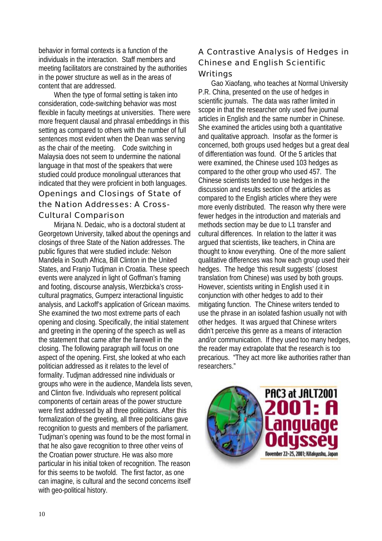behavior in formal contexts is a function of the individuals in the interaction. Staff members and meeting facilitators are constrained by the authorities in the power structure as well as in the areas of content that are addressed.

When the type of formal setting is taken into consideration, code-switching behavior was most flexible in faculty meetings at universities. There were more frequent clausal and phrasal embeddings in this setting as compared to others with the number of full sentences most evident when the Dean was serving as the chair of the meeting. Code switching in Malaysia does not seem to undermine the national language in that most of the speakers that were studied could produce monolingual utterances that indicated that they were proficient in both languages. Openings and Closings of State of the Nation Addresses: A Cross-Cultural Comparison

Mirjana N. Dedaic, who is a doctoral student at Georgetown University, talked about the openings and closings of three State of the Nation addresses. The public figures that were studied include: Nelson Mandela in South Africa, Bill Clinton in the United States, and Franjo Tudjman in Croatia. These speech events were analyzed in light of Goffman's framing and footing, discourse analysis, Wierzbicka's crosscultural pragmatics, Gumperz interactional linguistic analysis, and Lackoff's application of Gricean maxims. She examined the two most extreme parts of each opening and closing. Specifically, the initial statement and greeting in the opening of the speech as well as the statement that came after the farewell in the closing. The following paragraph will focus on one aspect of the opening. First, she looked at who each politician addressed as it relates to the level of formality. Tudjman addressed nine individuals or groups who were in the audience, Mandela lists seven, and Clinton five. Individuals who represent political components of certain areas of the power structure were first addressed by all three politicians. After this formalization of the greeting, all three politicians gave recognition to guests and members of the parliament. Tudjman's opening was found to be the most formal in that he also gave recognition to three other veins of the Croatian power structure. He was also more particular in his initial token of recognition. The reason for this seems to be twofold. The first factor, as one can imagine, is cultural and the second concerns itself with geo-political history.

#### A Contrastive Analysis of Hedges in Chinese and English Scientific Writings

Gao Xiaofang, who teaches at Normal University P.R. China, presented on the use of hedges in scientific journals. The data was rather limited in scope in that the researcher only used five journal articles in English and the same number in Chinese. She examined the articles using both a quantitative and qualitative approach. Insofar as the former is concerned, both groups used hedges but a great deal of differentiation was found. Of the 5 articles that were examined, the Chinese used 103 hedges as compared to the other group who used 457. The Chinese scientists tended to use hedges in the discussion and results section of the articles as compared to the English articles where they were more evenly distributed. The reason why there were fewer hedges in the introduction and materials and methods section may be due to L1 transfer and cultural differences. In relation to the latter it was argued that scientists, like teachers, in China are thought to know everything. One of the more salient qualitative differences was how each group used their hedges. The hedge 'this result suggests' (closest translation from Chinese) was used by both groups. However, scientists writing in English used it in conjunction with other hedges to add to their mitigating function. The Chinese writers tended to use the phrase in an isolated fashion usually not with other hedges. It was argued that Chinese writers didn't perceive this genre as a means of interaction and/or communication. If they used too many hedges, the reader may extrapolate that the research is too precarious. "They act more like authorities rather than researchers."

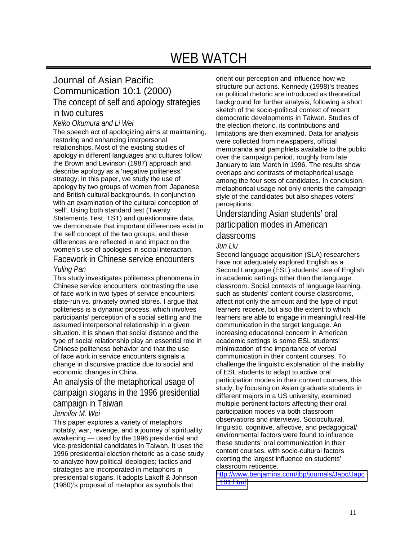## WEB WATCH

### Journal of Asian Pacific Communication 10:1 (2000) The concept of self and apology strategies

### in two cultures

#### *Keiko Okumura and Li Wei*

The speech act of apologizing aims at maintaining, restoring and enhancing interpersonal relationships. Most of the existing studies of apology in different languages and cultures follow the Brown and Levinson (1987) approach and describe apology as a 'negative politeness' strategy. In this paper, we study the use of apology by two groups of women from Japanese and British cultural backgrounds, in conjunction with an examination of the cultural conception of 'self'. Using both standard test (Twenty Statements Test, TST) and questionnaire data, we demonstrate that important differences exist in the self concept of the two groups, and these differences are reflected in and impact on the women's use of apologies in social interaction.

#### Facework in Chinese service encounters *Yuling Pan*

This study investigates politeness phenomena in Chinese service encounters, contrasting the use of face work in two types of service encounters: state-run vs. privately owned stores. I argue that politeness is a dynamic process, which involves participants' perception of a social setting and the assumed interpersonal relationship in a given situation. It is shown that social distance and the type of social relationship play an essential role in Chinese politeness behavior and that the use of face work in service encounters signals a change in discursive practice due to social and economic changes in China.

#### An analysis of the metaphorical usage of campaign slogans in the 1996 presidential campaign in Taiwan

#### *Jennifer M. Wei*

This paper explores a variety of metaphors notably, war, revenge, and a journey of spirituality awakening — used by the 1996 presidential and vice-presidential candidates in Taiwan. It uses the 1996 presidential election rhetoric as a case study to analyze how political ideologies; tactics and strategies are incorporated in metaphors in presidential slogans. It adopts Lakoff & Johnson (1980)'s proposal of metaphor as symbols that

orient our perception and influence how we structure our actions. Kennedy (1998)'s treaties on political rhetoric are introduced as theoretical background for further analysis, following a short sketch of the socio-political context of recent democratic developments in Taiwan. Studies of the election rhetoric, its contributions and limitations are then examined. Data for analysis were collected from newspapers, official memoranda and pamphlets available to the public over the campaign period, roughly from late January to late March in 1996. The results show overlaps and contrasts of metaphorical usage among the four sets of candidates. In conclusion, metaphorical usage not only orients the campaign style of the candidates but also shapes voters' perceptions.

#### Understanding Asian students' oral participation modes in American classrooms

#### *Jun Liu*

Second language acquisition (SLA) researchers have not adequately explored English as a Second Language (ESL) students' use of English in academic settings other than the language classroom. Social contexts of language learning, such as students' content course classrooms, affect not only the amount and the type of input learners receive, but also the extent to which learners are able to engage in meaningful real-life communication in the target language. An increasing educational concern in American academic settings is some ESL students' minimization of the importance of verbal communication in their content courses. To challenge the linguistic explanation of the inability of ESL students to adapt to active oral participation modes in their content courses, this study, by focusing on Asian graduate students in different majors in a US university, examined multiple pertinent factors affecting their oral participation modes via both classroom observations and interviews. Sociocultural, linguistic, cognitive, affective, and pedagogical/ environmental factors were found to influence these students' oral communication in their content courses, with socio-cultural factors exerting the largest influence on students' classroom reticence.

[http://www.benjamins.com/jbp/journals/Japc/Japc](http://www.benjamins.com/jbp/journals/Japc/Japc_101.html) [\\_101.html](http://www.benjamins.com/jbp/journals/Japc/Japc_101.html)